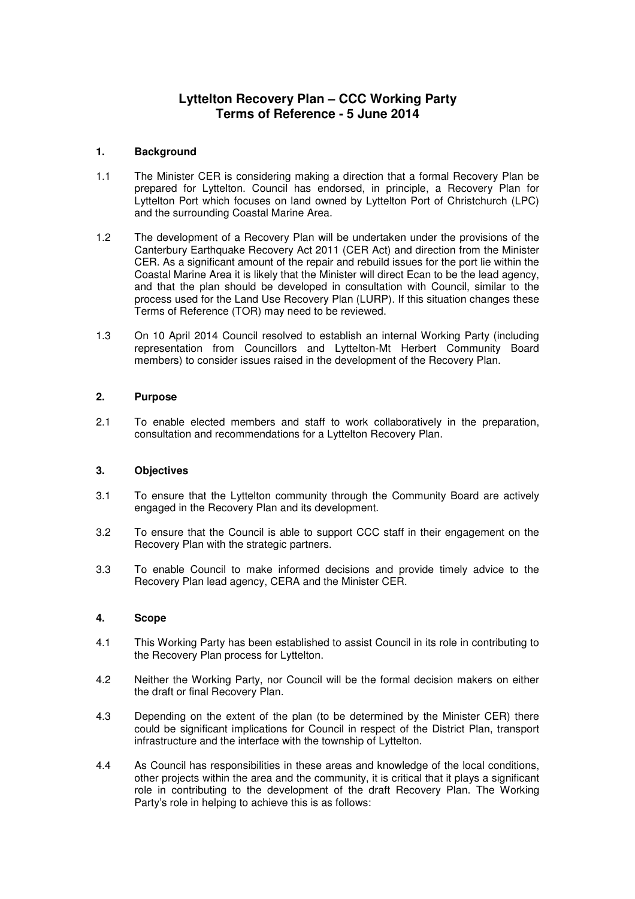# **Lyttelton Recovery Plan – CCC Working Party Terms of Reference - 5 June 2014**

## **1. Background**

- 1.1 The Minister CER is considering making a direction that a formal Recovery Plan be prepared for Lyttelton. Council has endorsed, in principle, a Recovery Plan for Lyttelton Port which focuses on land owned by Lyttelton Port of Christchurch (LPC) and the surrounding Coastal Marine Area.
- 1.2 The development of a Recovery Plan will be undertaken under the provisions of the Canterbury Earthquake Recovery Act 2011 (CER Act) and direction from the Minister CER. As a significant amount of the repair and rebuild issues for the port lie within the Coastal Marine Area it is likely that the Minister will direct Ecan to be the lead agency, and that the plan should be developed in consultation with Council, similar to the process used for the Land Use Recovery Plan (LURP). If this situation changes these Terms of Reference (TOR) may need to be reviewed.
- 1.3 On 10 April 2014 Council resolved to establish an internal Working Party (including representation from Councillors and Lyttelton-Mt Herbert Community Board members) to consider issues raised in the development of the Recovery Plan.

## **2. Purpose**

2.1 To enable elected members and staff to work collaboratively in the preparation, consultation and recommendations for a Lyttelton Recovery Plan.

#### **3. Objectives**

- 3.1 To ensure that the Lyttelton community through the Community Board are actively engaged in the Recovery Plan and its development.
- 3.2 To ensure that the Council is able to support CCC staff in their engagement on the Recovery Plan with the strategic partners.
- 3.3 To enable Council to make informed decisions and provide timely advice to the Recovery Plan lead agency, CERA and the Minister CER.

#### **4. Scope**

- 4.1 This Working Party has been established to assist Council in its role in contributing to the Recovery Plan process for Lyttelton.
- 4.2 Neither the Working Party, nor Council will be the formal decision makers on either the draft or final Recovery Plan.
- 4.3 Depending on the extent of the plan (to be determined by the Minister CER) there could be significant implications for Council in respect of the District Plan, transport infrastructure and the interface with the township of Lyttelton.
- 4.4 As Council has responsibilities in these areas and knowledge of the local conditions, other projects within the area and the community, it is critical that it plays a significant role in contributing to the development of the draft Recovery Plan. The Working Party's role in helping to achieve this is as follows: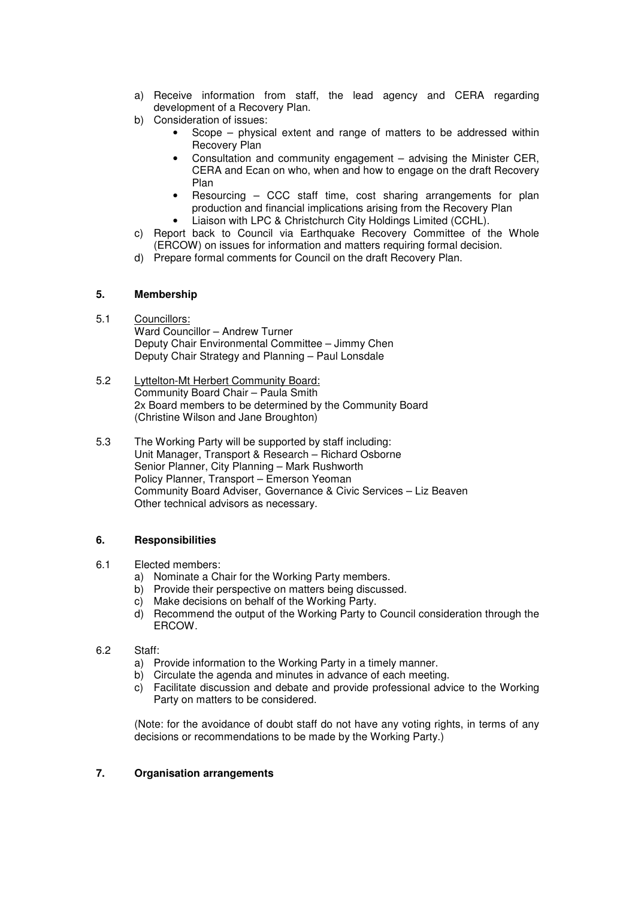- a) Receive information from staff, the lead agency and CERA regarding development of a Recovery Plan.
- b) Consideration of issues:
	- Scope physical extent and range of matters to be addressed within Recovery Plan
	- Consultation and community engagement advising the Minister CER, CERA and Ecan on who, when and how to engage on the draft Recovery Plan
	- Resourcing CCC staff time, cost sharing arrangements for plan production and financial implications arising from the Recovery Plan
	- Liaison with LPC & Christchurch City Holdings Limited (CCHL).
- c) Report back to Council via Earthquake Recovery Committee of the Whole (ERCOW) on issues for information and matters requiring formal decision.
- d) Prepare formal comments for Council on the draft Recovery Plan.

# **5. Membership**

# 5.1 Councillors:

Ward Councillor – Andrew Turner Deputy Chair Environmental Committee – Jimmy Chen Deputy Chair Strategy and Planning – Paul Lonsdale

- 5.2 Lyttelton-Mt Herbert Community Board: Community Board Chair – Paula Smith 2x Board members to be determined by the Community Board (Christine Wilson and Jane Broughton)
- 5.3 The Working Party will be supported by staff including: Unit Manager, Transport & Research – Richard Osborne Senior Planner, City Planning – Mark Rushworth Policy Planner, Transport – Emerson Yeoman Community Board Adviser, Governance & Civic Services – Liz Beaven Other technical advisors as necessary.

# **6. Responsibilities**

- 6.1 Elected members:
	- a) Nominate a Chair for the Working Party members.
	- b) Provide their perspective on matters being discussed.
	- c) Make decisions on behalf of the Working Party.
	- d) Recommend the output of the Working Party to Council consideration through the ERCOW.
- 6.2 Staff:
	- a) Provide information to the Working Party in a timely manner.
	- b) Circulate the agenda and minutes in advance of each meeting.
	- c) Facilitate discussion and debate and provide professional advice to the Working Party on matters to be considered.

(Note: for the avoidance of doubt staff do not have any voting rights, in terms of any decisions or recommendations to be made by the Working Party.)

# **7. Organisation arrangements**